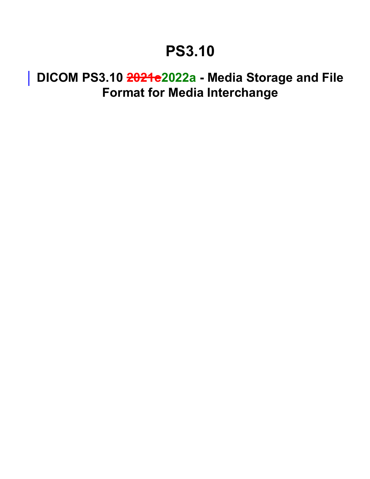## **PS3.10**

## **DICOM PS3.10 2021e2022a - Media Storage and File Format for Media Interchange**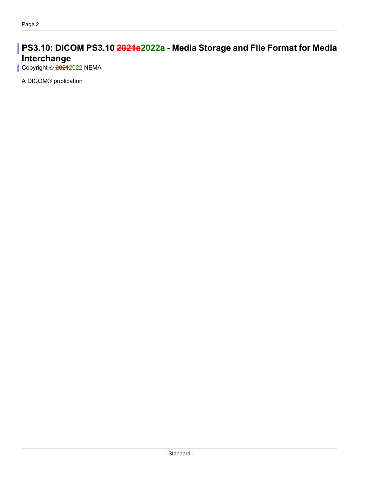## **PS3.10: DICOM PS3.10 2021e2022a - Media Storage and File Format for Media Interchange**

Copyright © 20212022 NEMA

A DICOM® publication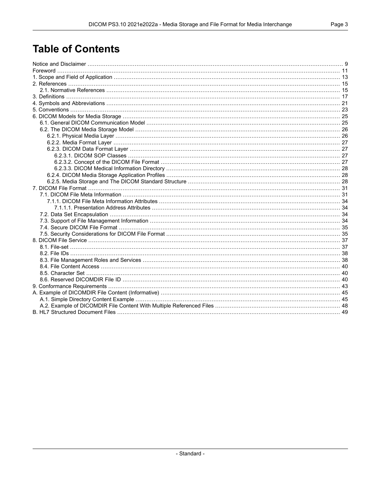## **Table of Contents**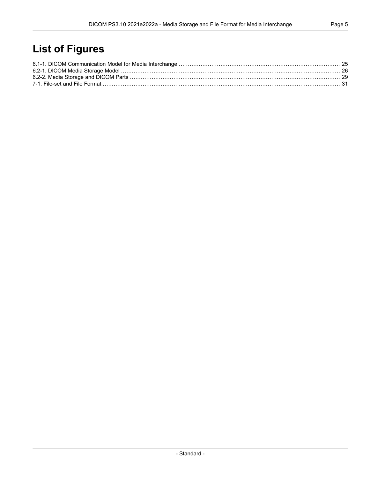## **List of Figures**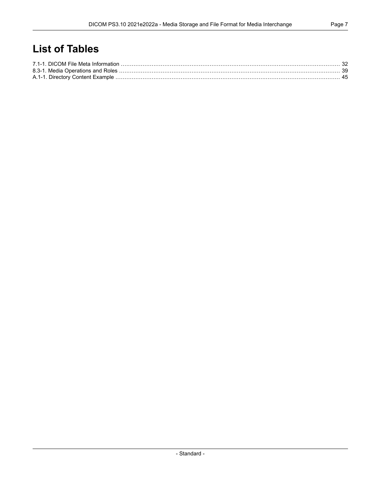## **List of Tables**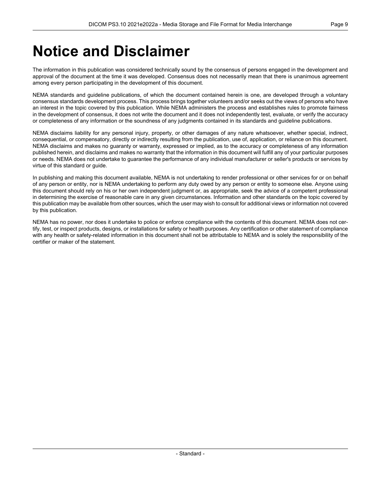## <span id="page-8-0"></span>**Notice and Disclaimer**

The information in this publication was considered technically sound by the consensus of persons engaged in the development and approval of the document at the time it was developed. Consensus does not necessarily mean that there is unanimous agreement among every person participating in the development of this document.

NEMA standards and guideline publications, of which the document contained herein is one, are developed through a voluntary consensus standards development process. This process brings together volunteers and/or seeks out the views of persons who have an interest in the topic covered by this publication. While NEMA administers the process and establishes rules to promote fairness in the development of consensus, it does not write the document and it does not independently test, evaluate, or verify the accuracy or completeness of any information or the soundness of any judgments contained in its standards and guideline publications.

NEMA disclaims liability for any personal injury, property, or other damages of any nature whatsoever, whether special, indirect, consequential, or compensatory, directly or indirectly resulting from the publication, use of, application, or reliance on this document. NEMA disclaims and makes no guaranty or warranty, expressed or implied, as to the accuracy or completeness of any information published herein, and disclaims and makes no warranty that the information in this document will fulfill any of your particular purposes or needs. NEMA does not undertake to guarantee the performance of any individual manufacturer or seller's products or services by virtue of this standard or guide.

In publishing and making this document available, NEMA is not undertaking to render professional or other services for or on behalf of any person or entity, nor is NEMA undertaking to perform any duty owed by any person or entity to someone else. Anyone using this document should rely on his or her own independent judgment or, as appropriate, seek the advice of a competent professional in determining the exercise of reasonable care in any given circumstances. Information and other standards on the topic covered by this publication may be available from other sources, which the user may wish to consult for additional views or information not covered by this publication.

NEMA has no power, nor does it undertake to police or enforce compliance with the contents of this document. NEMA does not cer tify, test, or inspect products, designs, or installations for safety or health purposes. Any certification or other statement of compliance with any health or safety-related information in this document shall not be attributable to NEMA and is solely the responsibility of the certifier or maker of the statement.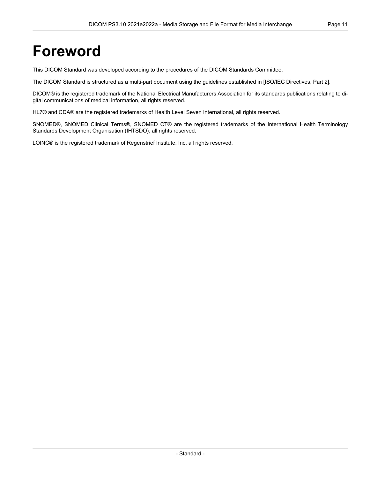## <span id="page-10-0"></span>**Foreword**

This DICOM Standard was developed according to the procedures of the DICOM Standards Committee.

The DICOM Standard is structured as a multi-part document using the guidelines established in [ISO/IEC [Directives,](#page-14-2) Part 2].

DICOM® is the registered trademark of the National Electrical Manufacturers Association for its standards publications relating to di gital communications of medical information, all rights reserved.

HL7® and CDA® are the registered trademarks of Health Level Seven International, all rights reserved.

SNOMED®, SNOMED Clinical Terms®, SNOMED CT® are the registered trademarks of the International Health Terminology Standards Development Organisation (IHTSDO), all rights reserved.

LOINC® is the registered trademark of Regenstrief Institute, Inc, all rights reserved.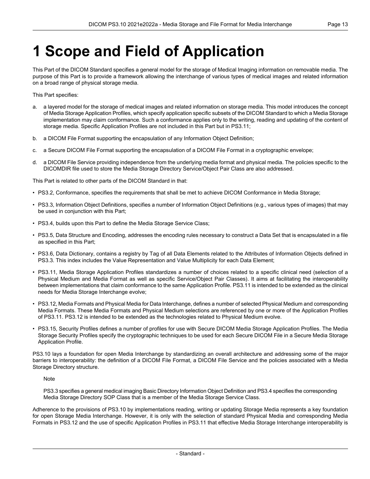# <span id="page-12-0"></span>**1 Scope and Field of Application**

This Part of the DICOM Standard specifies a general model for the storage of Medical Imaging information on removable media. The purpose of this Part is to provide a framework allowing the interchange of various types of medical images and related information on a broad range of physical storage media.

This Part specifies:

- a. a layered model for the storage of medical images and related information on storage media. This model introduces the concept of Media Storage Application Profiles, which specify application specific subsets of the DICOM Standard to which a Media Storage implementation may claim conformance. Such a conformance applies only to the writing, reading and updating of the content of storage media. Specific Application Profiles are not included in this Part but in [PS3.11](part11.pdf#PS3.11);
- b. a DICOM File Format supporting the encapsulation of any Information Object Definition;
- c. a Secure DICOM File Format supporting the encapsulation of a DICOM File Format in a cryptographic envelope;
- d. a DICOM File Service providing independence from the underlying media format and physical media. The policies specific to the DICOMDIR file used to store the Media Storage Directory Service/Object Pair Class are also addressed.

This Part is related to other parts of the DICOM Standard in that:

- [PS3.2](part02.pdf#PS3.2), Conformance, specifies the requirements that shall be met to achieve DICOM Conformance in Media Storage;
- [PS3.3](part03.pdf#PS3.3), Information Object Definitions, specifies a number of Information Object Definitions (e.g., various types of images) that may be used in conjunction with this Part;
- [PS3.4](part04.pdf#PS3.4), builds upon this Part to define the Media Storage Service Class;
- [PS3.5](part05.pdf#PS3.5), Data Structure and Encoding, addresses the encoding rules necessary to construct a Data Set that is encapsulated in a file as specified in this Part;
- [PS3.6](part06.pdf#PS3.6), Data Dictionary, contains a registry by Tag of all Data Elements related to the Attributes of Information Objects defined in [PS3.3](part03.pdf#PS3.3). This index includes the Value Representation and Value Multiplicity for each Data Element;
- [PS3.11](part11.pdf#PS3.11), Media Storage Application Profiles standardizes a number of choices related to a specific clinical need (selection of a Physical Medium and Media Format as well as specific Service/Object Pair Classes). It aims at facilitating the interoperability between implementations that claim conformance to the same Application Profile. [PS3.11](part11.pdf#PS3.11) is intended to be extended as the clinical needs for Media Storage Interchange evolve;
- [PS3.12](part12.pdf#PS3.12), Media Formats and Physical Media for Data Interchange, defines a number of selected Physical Medium and corresponding Media Formats. These Media Formats and Physical Medium selections are referenced by one or more of the Application Profiles of [PS3.11](part11.pdf#PS3.11). [PS3.12](part12.pdf#PS3.12) is intended to be extended as the technologies related to Physical Medium evolve.
- [PS3.15](part15.pdf#PS3.15), Security Profiles defines a number of profiles for use with Secure DICOM Media Storage Application Profiles. The Media Storage Security Profiles specify the cryptographic techniques to be used for each Secure DICOM File in a Secure Media Storage Application Profile.

PS3.10 lays a foundation for open Media Interchange by standardizing an overall architecture and addressing some of the major barriers to interoperability: the definition of a DICOM File Format, a DICOM File Service and the policies associated with a Media Storage Directory structure.

Note

[PS3.3](part03.pdf#PS3.3) specifies a general medical imaging Basic Directory Information Object Definition and [PS3.4](part04.pdf#PS3.4) specifies the corresponding Media Storage Directory SOP Class that is a member of the Media Storage Service Class.

Adherence to the provisions of PS3.10 by implementations reading, writing or updating Storage Media represents a key foundation for open Storage Media Interchange. However, it is only with the selection of standard Physical Media and corresponding Media Formats in [PS3.12](part12.pdf#PS3.12) and the use of specific Application Profiles in [PS3.11](part11.pdf#PS3.11) that effective Media Storage Interchange interoperability is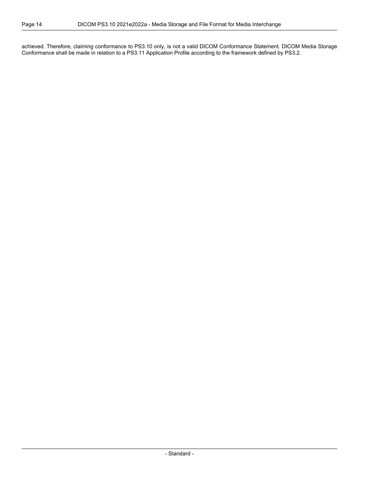achieved. Therefore, claiming conformance to PS3.10 only, is not a valid DICOM Conformance Statement. DICOM Media Storage Conformance shall be made in relation to a [PS3.11](part11.pdf#PS3.11) Application Profile according to the framework defined by [PS3.2.](part02.pdf#PS3.2)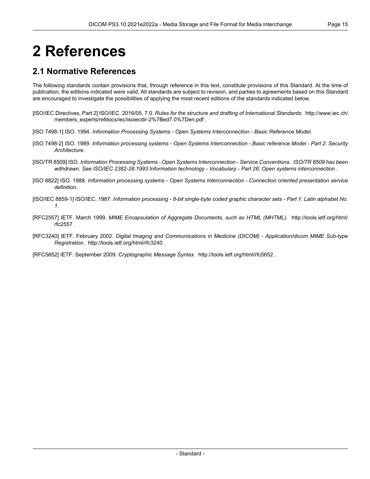# <span id="page-14-0"></span>**2 References**

## <span id="page-14-1"></span>**2.1 Normative References**

The following standards contain provisions that, through reference in this text, constitute provisions of this Standard. At the time of publication, the editions indicated were valid. All standards are subject to revision, and parties to agreements based on this Standard are encouraged to investigate the possibilities of applying the most recent editions of the standards indicated below.

- <span id="page-14-3"></span><span id="page-14-2"></span>[ISO/IEC Directives, Part 2] ISO/IEC. 2016/05. 7.0. *Rules for the structure and drafting of International Standards*. [http://www.iec.ch/](http://www.iec.ch/members_experts/refdocs/iec/isoiecdir-2%7Bed7.0%7Den.pdf) [members\\_experts/refdocs/iec/isoiecdir-2%7Bed7.0%7Den.pdf](http://www.iec.ch/members_experts/refdocs/iec/isoiecdir-2%7Bed7.0%7Den.pdf) .
- <span id="page-14-4"></span>[ISO 7498-1] ISO. 1994. *Information Processing Systems - Open Systems Interconnection - Basic Reference Model*.
- <span id="page-14-5"></span>[ISO 7498-2] ISO. 1989. Information processing systems - Open Systems Interconnection - Basic reference Model - Part 2: Security *Architecture*.
- <span id="page-14-6"></span>[ISO/TR 8509] ISO. *Information Processing Systems - Open Systems Interconnection - Service Conventions*. *ISO/TR 8509 has been withdrawn. See ISO/IEC 2382-26:1993 Information technology - Vocabulary - Part 26: Open systems interconnection* .
- [ISO 8822] ISO. 1988. *Information processing systems - Open Systems Interconnection - Connection oriented presentation service definition*.
- [ISO/IEC 8859-1] ISO/IEC. 1987. Information processing 8-bit single-byte coded graphic character sets Part 1: Latin alphabet No. *1*.
- <span id="page-14-8"></span>[RFC2557] IETF. March 1999. *MIME Encapsulation of Aggregate Documents, such as HTML (MHTML)*. [http://tools.ietf.org/html/](http://tools.ietf.org/html/rfc2557) [rfc2557](http://tools.ietf.org/html/rfc2557) .
- <span id="page-14-7"></span>[RFC3240] IETF. February 2002. *Digital Imaging and Communications in Medicine (DICOM) - Application/dicom MIME Sub-type Registration*. <http://tools.ietf.org/html/rfc3240> .

[RFC5652] IETF. September 2009. *Cryptographic Message Syntax*. <http://tools.ietf.org/html/rfc5652> .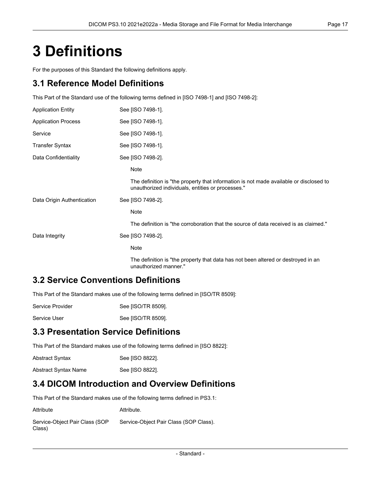## <span id="page-16-0"></span>**3 Definitions**

For the purposes of this Standard the following definitions apply.

### **3.1 Reference Model Definitions**

This Part of the Standard use of the following terms defined in [ISO [7498-1\]](#page-14-3) and [ISO [7498-2\]](#page-14-4):

| <b>Application Entity</b>  | See [ISO 7498-1].                                                                                                                           |
|----------------------------|---------------------------------------------------------------------------------------------------------------------------------------------|
| <b>Application Process</b> | See [ISO 7498-1].                                                                                                                           |
| Service                    | See [ISO 7498-1].                                                                                                                           |
| Transfer Syntax            | See [ISO 7498-1].                                                                                                                           |
| Data Confidentiality       | See [ISO 7498-2].                                                                                                                           |
|                            | Note                                                                                                                                        |
|                            | The definition is "the property that information is not made available or disclosed to<br>unauthorized individuals, entities or processes." |
| Data Origin Authentication | See [ISO 7498-2].                                                                                                                           |
|                            | Note                                                                                                                                        |
|                            | The definition is "the corroboration that the source of data received is as claimed."                                                       |
| Data Integrity             | See [ISO 7498-2].                                                                                                                           |
|                            | Note                                                                                                                                        |
|                            | The definition is "the property that data has not been altered or destroyed in an<br>unauthorized manner."                                  |

### **3.2 Service Conventions Definitions**

This Part of the Standard makes use of the following terms defined in [\[ISO/TR](#page-14-5) 8509]:

| Service Provider | See [ISO/TR 8509]. |
|------------------|--------------------|
|                  |                    |

Service User See [\[ISO/TR](#page-14-5) 8509].

## **3.3 Presentation Service Definitions**

This Part of the Standard makes use of the following terms defined in [ISO [8822\]](#page-14-6):

| <b>Abstract Syntax</b> | See [ISO 8822]. |
|------------------------|-----------------|
| Abstract Syntax Name   | See [ISO 8822]. |

### **3.4 DICOM Introduction and Overview Definitions**

This Part of the Standard makes use of the following terms defined in [PS3.1:](part01.pdf#PS3.1)

| Attribute                                | Attribute.                             |
|------------------------------------------|----------------------------------------|
| Service-Object Pair Class (SOP<br>Class) | Service-Object Pair Class (SOP Class). |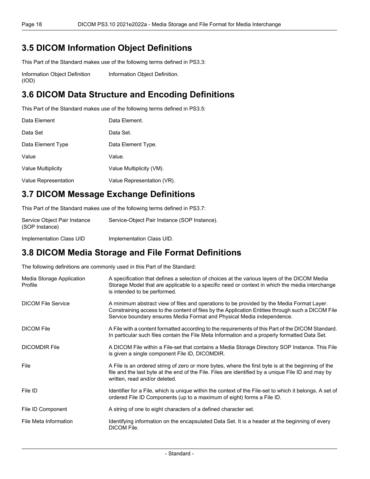## **3.5 DICOM Information Object Definitions**

This Part of the Standard makes use of the following terms defined in [PS3.3:](part03.pdf#PS3.3)

Information Object Definition (IOD) [Information](part03.pdf#glossentry_InformationObjectDefinition) Object Definition.

## **3.6 DICOM Data Structure and Encoding Definitions**

This Part of the Standard makes use of the following terms defined in [PS3.5:](part05.pdf#PS3.5)

| Data Element         | Data Element.              |
|----------------------|----------------------------|
| Data Set             | Data Set.                  |
| Data Element Type    | Data Element Type.         |
| Value                | Value.                     |
| Value Multiplicity   | Value Multiplicity (VM).   |
| Value Representation | Value Representation (VR). |

## **3.7 DICOM Message Exchange Definitions**

This Part of the Standard makes use of the following terms defined in [PS3.7:](part07.pdf#PS3.7)

| Service Object Pair Instance<br>(SOP Instance) | Service-Object Pair Instance (SOP Instance). |
|------------------------------------------------|----------------------------------------------|
| Implementation Class UID                       | Implementation Class UID.                    |

## **3.8 DICOM Media Storage and File Format Definitions**

The following definitions are commonly used in this Part of the Standard:

| Media Storage Application<br>Profile | A specification that defines a selection of choices at the various layers of the DICOM Media<br>Storage Model that are applicable to a specific need or context in which the media interchange<br>is intended to be performed.                                           |
|--------------------------------------|--------------------------------------------------------------------------------------------------------------------------------------------------------------------------------------------------------------------------------------------------------------------------|
| <b>DICOM File Service</b>            | A minimum abstract view of files and operations to be provided by the Media Format Layer.<br>Constraining access to the content of files by the Application Entities through such a DICOM File<br>Service boundary ensures Media Format and Physical Media independence. |
| <b>DICOM File</b>                    | A File with a content formatted according to the requirements of this Part of the DICOM Standard.<br>In particular such files contain the File Meta Information and a properly formatted Data Set.                                                                       |
| <b>DICOMDIR File</b>                 | A DICOM File within a File-set that contains a Media Storage Directory SOP Instance. This File<br>is given a single component File ID, DICOMDIR.                                                                                                                         |
| File                                 | A File is an ordered string of zero or more bytes, where the first byte is at the beginning of the<br>file and the last byte at the end of the File. Files are identified by a unique File ID and may by<br>written, read and/or deleted.                                |
| File ID                              | Identifier for a File, which is unique within the context of the File-set to which it belongs. A set of<br>ordered File ID Components (up to a maximum of eight) forms a File ID.                                                                                        |
| File ID Component                    | A string of one to eight characters of a defined character set.                                                                                                                                                                                                          |
| File Meta Information                | Identifying information on the encapsulated Data Set. It is a header at the beginning of every<br>DICOM File.                                                                                                                                                            |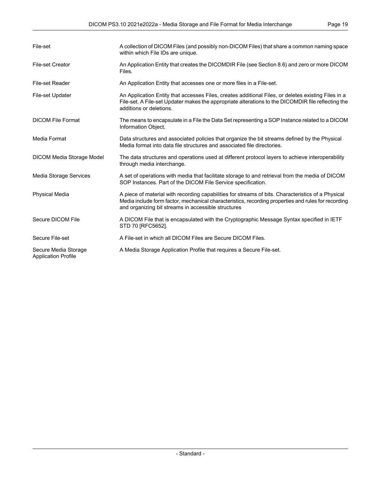| File-set                                           | A collection of DICOM Files (and possibly non-DICOM Files) that share a common naming space<br>within which File IDs are unique.                                                                                                                                 |
|----------------------------------------------------|------------------------------------------------------------------------------------------------------------------------------------------------------------------------------------------------------------------------------------------------------------------|
| <b>File-set Creator</b>                            | An Application Entity that creates the DICOMDIR File (see Section 8.6) and zero or more DICOM<br>Files.                                                                                                                                                          |
| <b>File-set Reader</b>                             | An Application Entity that accesses one or more files in a File-set.                                                                                                                                                                                             |
| File-set Updater                                   | An Application Entity that accesses Files, creates additional Files, or deletes existing Files in a<br>File-set. A File-set Updater makes the appropriate alterations to the DICOMDIR file reflecting the<br>additions or deletions.                             |
| <b>DICOM File Format</b>                           | The means to encapsulate in a File the Data Set representing a SOP Instance related to a DICOM<br>Information Object.                                                                                                                                            |
| Media Format                                       | Data structures and associated policies that organize the bit streams defined by the Physical<br>Media format into data file structures and associated file directories.                                                                                         |
| <b>DICOM Media Storage Model</b>                   | The data structures and operations used at different protocol layers to achieve interoperability<br>through media interchange.                                                                                                                                   |
| Media Storage Services                             | A set of operations with media that facilitate storage to and retrieval from the media of DICOM<br>SOP Instances. Part of the DICOM File Service specification.                                                                                                  |
| <b>Physical Media</b>                              | A piece of material with recording capabilities for streams of bits. Characteristics of a Physical<br>Media include form factor, mechanical characteristics, recording properties and rules for recording<br>and organizing bit streams in accessible structures |
| Secure DICOM File                                  | A DICOM File that is encapsulated with the Cryptographic Message Syntax specified in IETF<br>STD 70 [RFC5652].                                                                                                                                                   |
| Secure File-set                                    | A File-set in which all DICOM Files are Secure DICOM Files.                                                                                                                                                                                                      |
| Secure Media Storage<br><b>Application Profile</b> | A Media Storage Application Profile that requires a Secure File-set.                                                                                                                                                                                             |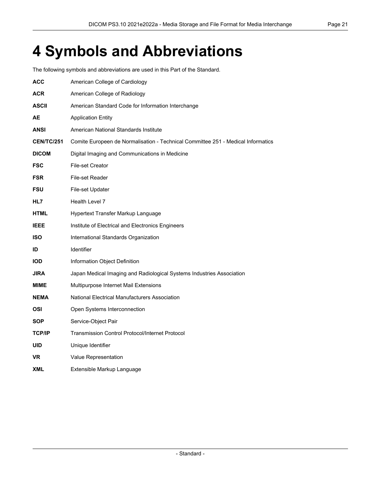# <span id="page-20-0"></span>**4 Symbols and Abbreviations**

The following symbols and abbreviations are used in this Part of the Standard.

| <b>ACC</b>        | American College of Cardiology                                                   |
|-------------------|----------------------------------------------------------------------------------|
| <b>ACR</b>        | American College of Radiology                                                    |
| <b>ASCII</b>      | American Standard Code for Information Interchange                               |
| AE                | <b>Application Entity</b>                                                        |
| <b>ANSI</b>       | American National Standards Institute                                            |
| <b>CEN/TC/251</b> | Comite Europeen de Normalisation - Technical Committee 251 - Medical Informatics |
| <b>DICOM</b>      | Digital Imaging and Communications in Medicine                                   |
| <b>FSC</b>        | File-set Creator                                                                 |
| <b>FSR</b>        | File-set Reader                                                                  |
| <b>FSU</b>        | File-set Updater                                                                 |
| HL7               | Health Level 7                                                                   |
| <b>HTML</b>       | Hypertext Transfer Markup Language                                               |
| <b>IEEE</b>       | Institute of Electrical and Electronics Engineers                                |
| <b>ISO</b>        | International Standards Organization                                             |
| ID                | <b>Identifier</b>                                                                |
| <b>IOD</b>        | Information Object Definition                                                    |
| <b>JIRA</b>       | Japan Medical Imaging and Radiological Systems Industries Association            |
| MIME              | Multipurpose Internet Mail Extensions                                            |
| <b>NEMA</b>       | National Electrical Manufacturers Association                                    |
| OSI               | Open Systems Interconnection                                                     |
| <b>SOP</b>        | Service-Object Pair                                                              |
| <b>TCP/IP</b>     | <b>Transmission Control Protocol/Internet Protocol</b>                           |
| <b>UID</b>        | Unique Identifier                                                                |
| <b>VR</b>         | Value Representation                                                             |
| <b>XML</b>        | Extensible Markup Language                                                       |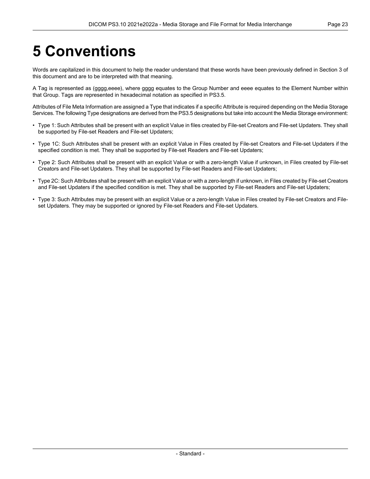# <span id="page-22-0"></span>**5 Conventions**

Words are capitalized in this document to help the reader understand that these words have been previously defined in Section 3 of this document and are to be interpreted with that meaning.

A Tag is represented as (gggg,eeee), where gggg equates to the Group Number and eeee equates to the Element Number within that Group. Tags are represented in hexadecimal notation as specified in [PS3.5.](part05.pdf#PS3.5)

Attributes of File Meta Information are assigned a Type that indicates if a specific Attribute is required depending on the Media Storage Services. The following Type designations are derived from the [PS3.5](part05.pdf#PS3.5) designations but take into account the Media Storage environment:

- Type 1: Such Attributes shall be present with an explicit Value in files created by File-set Creators and File-set Updaters. They shall be supported by File-set Readers and File-set Updaters;
- Type 1C: Such Attributes shall be present with an explicit Value in Files created by File-set Creators and File-set Updaters if the specified condition is met. They shall be supported by File-set Readers and File-set Updaters;
- Type 2: Such Attributes shall be present with an explicit Value or with a zero-length Value if unknown, in Files created by File-set Creators and File-set Updaters. They shall be supported by File-set Readers and File-set Updaters;
- Type 2C: Such Attributes shall be present with an explicit Value or with a zero-length if unknown, in Files created by File-set Creators and File-set Updaters if the specified condition is met. They shall be supported by File-set Readers and File-set Updaters;
- Type 3: Such Attributes may be present with an explicit Value or a zero-length Value in Files created by File-set Creators and File set Updaters. They may be supported or ignored by File-set Readers and File-set Updaters.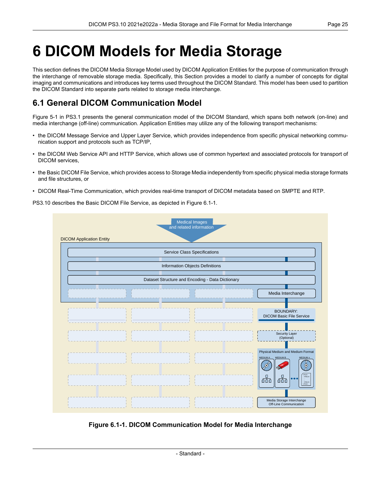## <span id="page-24-0"></span>**6 DICOM Models for Media Storage**

This section defines the DICOM Media Storage Model used by DICOM Application Entities for the purpose of communication through the interchange of removable storage media. Specifically, this Section provides a model to clarify a number of concepts for digital imaging and communications and introduces key terms used throughout the DICOM Standard. This model has been used to partition the DICOM Standard into separate parts related to storage media interchange.

## <span id="page-24-1"></span>**6.1 General DICOM Communication Model**

[Figure](part01.pdf#figure_5-1) 5-1 in PS3.1 presents the general communication model of the DICOM Standard, which spans both network (on-line) and media interchange (off-line) communication. Application Entities may utilize any of the following transport mechanisms:

- the DICOM Message Service and Upper Layer Service, which provides independence from specific physical networking commu nication support and protocols such as TCP/IP,
- the DICOM Web Service API and HTTP Service, which allows use of common hypertext and associated protocols for transport of DICOM services,
- the Basic DICOM File Service, which provides access to Storage Media independently from specific physical media storage formats and file structures, or
- <span id="page-24-2"></span>• DICOM Real-Time Communication, which provides real-time transport of DICOM metadata based on SMPTE and RTP.

PS3.10 describes the Basic DICOM File Service, as depicted in [Figure](#page-24-2) 6.1-1.

|                                 | <b>Medical Images</b><br>and related information |                                                                                                                                                                                          |
|---------------------------------|--------------------------------------------------|------------------------------------------------------------------------------------------------------------------------------------------------------------------------------------------|
| <b>DICOM Application Entity</b> |                                                  |                                                                                                                                                                                          |
|                                 | <b>Service Class Specifications</b>              |                                                                                                                                                                                          |
|                                 | Information Objects Definitions                  |                                                                                                                                                                                          |
|                                 |                                                  |                                                                                                                                                                                          |
|                                 | Dataset Structure and Encoding - Data Dictionary |                                                                                                                                                                                          |
|                                 |                                                  | Media Interchange                                                                                                                                                                        |
|                                 |                                                  | <b>BOUNDARY:</b><br><b>DICOM Basic File Service</b>                                                                                                                                      |
|                                 |                                                  | Security Layer<br>(Optional)                                                                                                                                                             |
|                                 |                                                  | Physical Medium and Medium Format<br>MEDIUM A<br><b>MEDIUM B</b><br>MEDIUM n<br>$\circ$<br>✍<br>eFILE <sub>2</sub><br>品<br>品<br>$\begin{array}{c}\n\cdots \\ \text{cFILLD}\n\end{array}$ |
|                                 |                                                  | Media Storage Interchange<br>Off-Line Communication                                                                                                                                      |

**Figure 6.1-1. DICOM Communication Model for Media Interchange**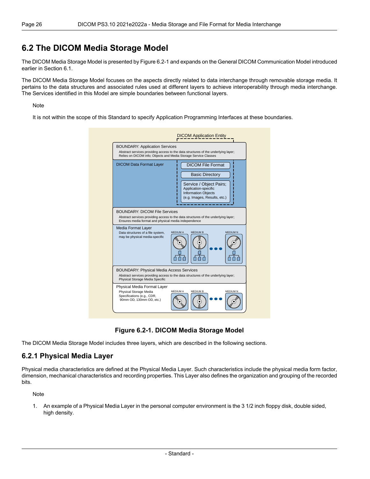### <span id="page-25-0"></span>**6.2 The DICOM Media Storage Model**

The DICOM Media Storage Model is presented by [Figure](#page-25-2) 6.2-1 and expands on the General DICOM Communication Model introduced earlier in [Section](#page-24-1) 6.1.

The DICOM Media Storage Model focuses on the aspects directly related to data interchange through removable storage media. It pertains to the data structures and associated rules used at different layers to achieve interoperability through media interchange. The Services identified in this Model are simple boundaries between functional layers.

#### Note

<span id="page-25-2"></span>It is not within the scope of this Standard to specify Application Programming Interfaces at these boundaries.

| <b>BOUNDARY: Application Services</b><br>Relies on DICOM info; Objects and Media Storage Service Classes | Abstract services providing access to the data structures of the underlying layer;                                                                                  |
|----------------------------------------------------------------------------------------------------------|---------------------------------------------------------------------------------------------------------------------------------------------------------------------|
| <b>DICOM Data Format Layer</b>                                                                           | <b>DICOM File Format</b><br><b>Basic Directory</b><br>Service / Object Pairs;<br>Application-specific<br><b>Information Objects</b><br>(e.g. Images, Results, etc.) |
| <b>BOUNDARY: DICOM File Services</b><br>Ensures media format and physical media independence             | Abstract services providing access to the data structures of the underlying layer;                                                                                  |
| Media Format Layer<br>Data structures of a file system,<br>may be physical media-specific                | <b>MEDIUM N</b><br><b>MEDIUM A</b><br><b>MEDIUM B</b>                                                                                                               |
|                                                                                                          |                                                                                                                                                                     |
| <b>BOUNDARY: Physical Media Access Services</b><br>Physical Storage Media Specific                       | Abstract services providing access to the data structures of the underlying layer;                                                                                  |

**Figure 6.2-1. DICOM Media Storage Model**

<span id="page-25-1"></span>The DICOM Media Storage Model includes three layers, which are described in the following sections.

#### **6.2.1 Physical Media Layer**

Physical media characteristics are defined at the Physical Media Layer. Such characteristics include the physical media form factor, dimension, mechanical characteristics and recording properties. This Layer also defines the organization and grouping of the recorded bits.

Note

1. An example of a Physical Media Layer in the personal computer environment is the 3 1/2 inch floppy disk, double sided, high density.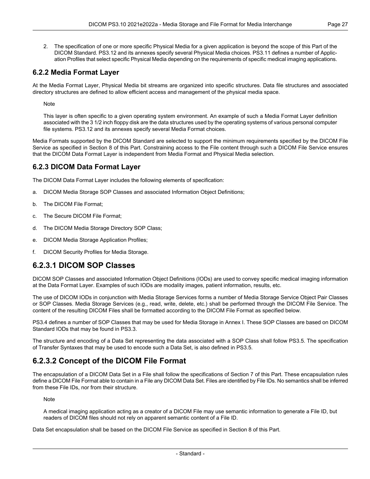2. The specification of one or more specific Physical Media for a given application is beyond the scope of this Part of the DICOM Standard. [PS3.12](part12.pdf#PS3.12) and its annexes specify several Physical Media choices. [PS3.11](part11.pdf#PS3.11) defines a number of Applic ation Profiles that select specific Physical Media depending on the requirements of specific medical imaging applications.

#### <span id="page-26-0"></span>**6.2.2 Media Format Layer**

At the Media Format Layer, Physical Media bit streams are organized into specific structures. Data file structures and associated directory structures are defined to allow efficient access and management of the physical media space.

Note

This layer is often specific to a given operating system environment. An example of such a Media Format Layer definition associated with the 3 1/2 inch floppy disk are the data structures used by the operating systems of various personal computer file systems. [PS3.12](part12.pdf#PS3.12) and its annexes specify several Media Format choices.

<span id="page-26-1"></span>Media Formats supported by the DICOM Standard are selected to support the minimum requirements specified by the DICOM File Service as specified in Section 8 of this Part. Constraining access to the File content through such a DICOM File Service ensures that the DICOM Data Format Layer is independent from Media Format and Physical Media selection.

#### **6.2.3 DICOM Data Format Layer**

The DICOM Data Format Layer includes the following elements of specification:

- a. DICOM Media Storage SOP Classes and associated Information Object Definitions;
- b. The DICOM File Format;
- c. The Secure DICOM File Format;
- d. The DICOM Media Storage Directory SOP Class;
- <span id="page-26-2"></span>e. DICOM Media Storage Application Profiles;
- f. DICOM Security Profiles for Media Storage.

#### **6.2.3.1 DICOM SOP Classes**

DICOM SOP Classes and associated Information Object Definitions (IODs) are used to convey specific medical imaging information at the Data Format Layer. Examples of such IODs are modality images, patient information, results, etc.

The use of DICOM IODs in conjunction with Media Storage Services forms a number of Media Storage Service Object Pair Classes or SOP Classes. Media Storage Services (e.g., read, write, delete, etc.) shall be performed through the DICOM File Service. The content of the resulting DICOM Files shall be formatted according to the DICOM File Format as specified below.

<span id="page-26-3"></span>[PS3.4](part04.pdf#PS3.4) defines a number of SOP Classes that may be used for Media Storage in [Annex](part04.pdf#chapter_I) I. These SOP Classes are based on DICOM Standard IODs that may be found in [PS3.3](part03.pdf#PS3.3).

The structure and encoding of a Data Set representing the data associated with a SOP Class shall follow [PS3.5.](part05.pdf#PS3.5) The specification of Transfer Syntaxes that may be used to encode such a Data Set, is also defined in [PS3.5.](part05.pdf#PS3.5)

#### **6.2.3.2 Concept of the DICOM File Format**

The encapsulation of a DICOM Data Set in a File shall follow the specifications of Section 7 of this Part. These encapsulation rules define a DICOM File Format able to contain in a File any DICOM Data Set. Files are identified by File IDs. No semantics shall be inferred from these File IDs, nor from their structure.

Note

A medical imaging application acting as a creator of a DICOM File may use semantic information to generate a File ID, but readers of DICOM files should not rely on apparent semantic content of a File ID.

Data Set encapsulation shall be based on the DICOM File Service as specified in Section 8 of this Part.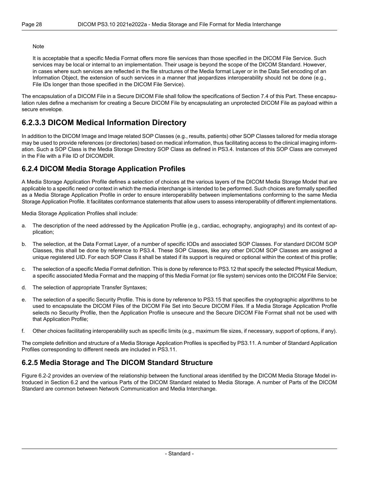#### Note

It is acceptable that a specific Media Format offers more file services than those specified in the DICOM File Service. Such services may be local or internal to an implementation. Their usage is beyond the scope of the DICOM Standard. However, in cases where such services are reflected in the file structures of the Media format Layer or in the Data Set encoding of an Information Object, the extension of such services in a manner that jeopardizes interoperability should not be done (e.g., File IDs longer than those specified in the DICOM File Service).

<span id="page-27-0"></span>The encapsulation of a DICOM File in a Secure DICOM File shall follow the specifications of [Section](#page-34-0) 7.4 of this Part. These encapsu lation rules define a mechanism for creating a Secure DICOM File by encapsulating an unprotected DICOM File as payload within a secure envelope.

### **6.2.3.3 DICOM Medical Information Directory**

<span id="page-27-1"></span>In addition to the DICOM Image and Image related SOP Classes (e.g., results, patients) other SOP Classes tailored for media storage may be used to provide references (or directories) based on medical information, thus facilitating access to the clinical imaging inform ation. Such a SOP Class is the Media Storage Directory SOP Class as defined in [PS3.4](part04.pdf#PS3.4). Instances of this SOP Class are conveyed in the File with a File ID of DICOMDIR.

#### **6.2.4 DICOM Media Storage Application Profiles**

A Media Storage Application Profile defines a selection of choices at the various layers of the DICOM Media Storage Model that are applicable to a specific need or context in which the media interchange is intended to be performed. Such choices are formally specified as a Media Storage Application Profile in order to ensure interoperability between implementations conforming to the same Media Storage Application Profile. It facilitates conformance statements that allow users to assess interoperability of different implementations.

Media Storage Application Profiles shall include:

- a. The description of the need addressed by the Application Profile (e.g., cardiac, echography, angiography) and its context of ap plication;
- b. The selection, at the Data Format Layer, of a number of specific IODs and associated SOP Classes. For standard DICOM SOP Classes, this shall be done by reference to [PS3.4.](part04.pdf#PS3.4) These SOP Classes, like any other DICOM SOP Classes are assigned a unique registered UID. For each SOP Class it shall be stated if its support is required or optional within the context of this profile;
- c. The selection of a specific Media Format definition. This is done by reference to [PS3.12](part12.pdf#PS3.12) that specify the selected Physical Medium, a specific associated Media Format and the mapping of this Media Format (or file system) services onto the DICOM File Service;
- d. The selection of appropriate Transfer Syntaxes;
- e. The selection of a specific Security Profile. This is done by reference to [PS3.15](part15.pdf#PS3.15) that specifies the cryptographic algorithms to be used to encapsulate the DICOM Files of the DICOM File Set into Secure DICOM Files. If a Media Storage Application Profile selects no Security Profile, then the Application Profile is unsecure and the Secure DICOM File Format shall not be used with that Application Profile;
- <span id="page-27-2"></span>f. Other choices facilitating interoperability such as specific limits (e.g., maximum file sizes, if necessary, support of options, if any).

The complete definition and structure of a Media Storage Application Profiles is specified by [PS3.11](part11.pdf#PS3.11). A number of Standard Application Profiles corresponding to different needs are included in [PS3.11](part11.pdf#PS3.11).

#### **6.2.5 Media Storage and The DICOM Standard Structure**

[Figure](#page-28-0) 6.2-2 provides an overview of the relationship between the functional areas identified by the DICOM Media Storage Model in troduced in [Section](#page-25-0) 6.2 and the various Parts of the DICOM Standard related to Media Storage. A number of Parts of the DICOM Standard are common between Network Communication and Media Interchange.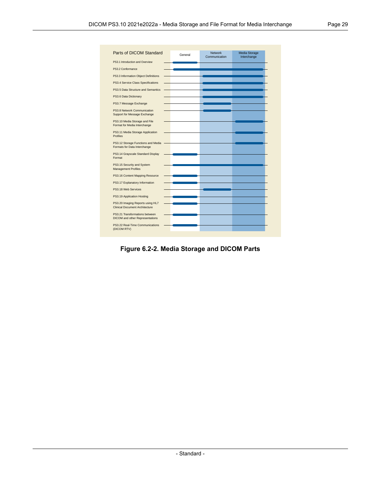<span id="page-28-0"></span>

| Parts of DICOM Standard                                                  | General | <b>Network</b><br>Communication | Media Storage<br>Interchange |
|--------------------------------------------------------------------------|---------|---------------------------------|------------------------------|
| PS3.1 Introduction and Overview                                          |         |                                 |                              |
| PS3.2 Conformance                                                        |         |                                 |                              |
| PS3.3 Information Object Definitions                                     |         |                                 |                              |
| PS3.4 Service Class Specifications                                       |         |                                 |                              |
| PS3.5 Data Structure and Semantics                                       |         |                                 |                              |
| PS3.6 Data Dictionary                                                    |         |                                 |                              |
| PS3.7 Message Exchange                                                   |         |                                 |                              |
| PS3.8 Network Communication<br>Support for Message Exchange              |         |                                 |                              |
| PS3.10 Media Storage and File<br>Format for Media Interchange            |         |                                 |                              |
| PS3.11 Media Storage Application<br><b>Profiles</b>                      |         |                                 |                              |
| PS3.12 Storage Functions and Media<br>Formats for Data Interchange       |         |                                 |                              |
| PS3.14 Grayscale Standard Display<br>Format                              |         |                                 |                              |
| PS3.15 Security and System<br><b>Management Profiles</b>                 |         |                                 |                              |
| PS3.16 Content Mapping Resource                                          |         |                                 |                              |
| PS3.17 Explanatory Information                                           |         |                                 |                              |
| PS3.18 Web Services                                                      |         |                                 |                              |
| PS3.19 Application Hosting                                               |         |                                 |                              |
| PS3.20 Imaging Reports using HL7<br>Clinical Document Architecture       |         |                                 |                              |
| PS3.21 Transformations between<br><b>DICOM</b> and other Representations |         |                                 |                              |
| PS3.22 Real-Time Communications<br>(DICOM RTV)                           |         |                                 |                              |

**Figure 6.2-2. Media Storage and DICOM Parts**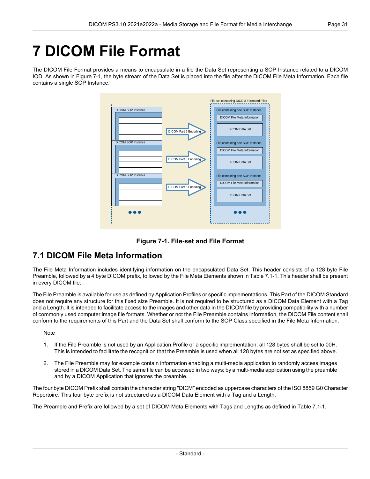# <span id="page-30-0"></span>**7 DICOM File Format**

<span id="page-30-2"></span>The DICOM File Format provides a means to encapsulate in a file the Data Set representing a SOP Instance related to a DICOM IOD. As shown in [Figure](#page-30-2) 7-1, the byte stream of the Data Set is placed into the file after the DICOM File Meta Information. Each file contains a single SOP Instance.





## <span id="page-30-1"></span>**7.1 DICOM File Meta Information**

The File Meta Information includes identifying information on the encapsulated Data Set. This header consists of a 128 byte File Preamble, followed by a 4 byte DICOM prefix, followed by the File Meta Elements shown in [Table](#page-31-0) 7.1-1. This header shall be present in every DICOM file.

The File Preamble is available for use as defined by Application Profiles or specific implementations. This Part of the DICOM Standard does not require any structure for this fixed size Preamble. It is not required to be structured as a DICOM Data Element with a Tag and a Length. It is intended to facilitate access to the images and other data in the DICOM file by providing compatibility with a number of commonly used computer image file formats. Whether or not the File Preamble contains information, the DICOM File content shall conform to the requirements of this Part and the Data Set shall conform to the SOP Class specified in the File Meta Information.

#### **Note**

- 1. If the File Preamble is not used by an Application Profile or a specific implementation, all 128 bytes shall be set to 00H. This is intended to facilitate the recognition that the Preamble is used when all 128 bytes are not set as specified above.
- 2. The File Preamble may for example contain information enabling a multi-media application to randomly access images stored in a DICOM Data Set. The same file can be accessed in two ways: by a multi-media application using the preamble and by a DICOM Application that ignores the preamble.

The four byte DICOM Prefix shall contain the character string "DICM" encoded as uppercase characters of the ISO 8859 G0 Character Repertoire. This four byte prefix is not structured as a DICOM Data Element with a Tag and a Length.

The Preamble and Prefix are followed by a set of DICOM Meta Elements with Tags and Lengths as defined in [Table](#page-31-0) 7.1-1.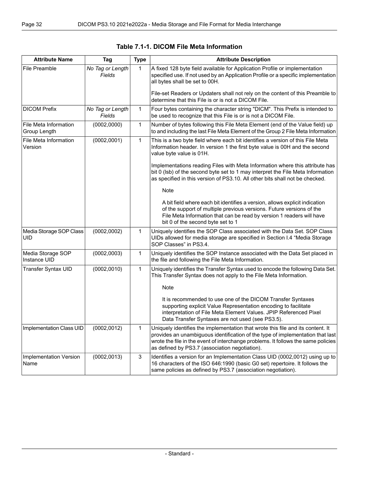<span id="page-31-0"></span>

| <b>Attribute Name</b>                 | Tag                        | <b>Type</b>  | <b>Attribute Description</b>                                                                                                                                                                                                                                                                             |
|---------------------------------------|----------------------------|--------------|----------------------------------------------------------------------------------------------------------------------------------------------------------------------------------------------------------------------------------------------------------------------------------------------------------|
| File Preamble                         | No Tag or Length<br>Fields | 1            | A fixed 128 byte field available for Application Profile or implementation<br>specified use. If not used by an Application Profile or a specific implementation<br>all bytes shall be set to 00H.                                                                                                        |
|                                       |                            |              | File-set Readers or Updaters shall not rely on the content of this Preamble to<br>determine that this File is or is not a DICOM File.                                                                                                                                                                    |
| <b>DICOM Prefix</b>                   | No Tag or Length<br>Fields | 1            | Four bytes containing the character string "DICM". This Prefix is intended to<br>be used to recognize that this File is or is not a DICOM File.                                                                                                                                                          |
| File Meta Information<br>Group Length | (0002, 0000)               | 1            | Number of bytes following this File Meta Element (end of the Value field) up<br>to and including the last File Meta Element of the Group 2 File Meta Information                                                                                                                                         |
| File Meta Information<br>Version      | (0002,0001)                | $\mathbf{1}$ | This is a two byte field where each bit identifies a version of this File Meta<br>Information header. In version 1 the first byte value is 00H and the second<br>value byte value is 01H.                                                                                                                |
|                                       |                            |              | Implementations reading Files with Meta Information where this attribute has<br>bit 0 (Isb) of the second byte set to 1 may interpret the File Meta Information<br>as specified in this version of PS3.10. All other bits shall not be checked.                                                          |
|                                       |                            |              | Note                                                                                                                                                                                                                                                                                                     |
|                                       |                            |              | A bit field where each bit identifies a version, allows explicit indication<br>of the support of multiple previous versions. Future versions of the<br>File Meta Information that can be read by version 1 readers will have<br>bit 0 of the second byte set to 1                                        |
| Media Storage SOP Class<br>UID        | (0002, 0002)               | 1            | Uniquely identifies the SOP Class associated with the Data Set. SOP Class<br>UIDs allowed for media storage are specified in Section I.4 "Media Storage<br>SOP Classes" in PS3.4.                                                                                                                        |
| Media Storage SOP<br>Instance UID     | (0002, 0003)               | 1            | Uniquely identifies the SOP Instance associated with the Data Set placed in<br>the file and following the File Meta Information.                                                                                                                                                                         |
| Transfer Syntax UID                   | (0002, 0010)               | $\mathbf{1}$ | Uniquely identifies the Transfer Syntax used to encode the following Data Set.<br>This Transfer Syntax does not apply to the File Meta Information.                                                                                                                                                      |
|                                       |                            |              | <b>Note</b>                                                                                                                                                                                                                                                                                              |
|                                       |                            |              | It is recommended to use one of the DICOM Transfer Syntaxes<br>supporting explicit Value Representation encoding to facilitate<br>interpretation of File Meta Element Values. JPIP Referenced Pixel<br>Data Transfer Syntaxes are not used (see PS3.5).                                                  |
| Implementation Class UID              | (0002, 0012)               | 1            | Uniquely identifies the implementation that wrote this file and its content. It<br>provides an unambiguous identification of the type of implementation that last<br>wrote the file in the event of interchange problems. It follows the same policies<br>as defined by PS3.7 (association negotiation). |
| Implementation Version<br>Name        | (0002, 0013)               | 3            | Identifies a version for an Implementation Class UID (0002,0012) using up to<br>16 characters of the ISO 646:1990 (basic G0 set) repertoire. It follows the<br>same policies as defined by PS3.7 (association negotiation).                                                                              |

|  |  |  |  | Table 7.1-1. DICOM File Meta Information |
|--|--|--|--|------------------------------------------|
|--|--|--|--|------------------------------------------|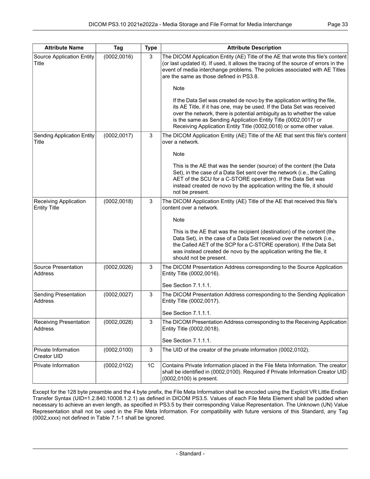| <b>Attribute Name</b>                        | Tag          | <b>Type</b>    | <b>Attribute Description</b>                                                                                                                                                                                                                                                                                                                                          |
|----------------------------------------------|--------------|----------------|-----------------------------------------------------------------------------------------------------------------------------------------------------------------------------------------------------------------------------------------------------------------------------------------------------------------------------------------------------------------------|
| Source Application Entity<br>Title           | (0002, 0016) | 3              | The DICOM Application Entity (AE) Title of the AE that wrote this file's content<br>(or last updated it). If used, it allows the tracing of the source of errors in the<br>event of media interchange problems. The policies associated with AE Titles<br>are the same as those defined in PS3.8.                                                                     |
|                                              |              |                | Note                                                                                                                                                                                                                                                                                                                                                                  |
|                                              |              |                | If the Data Set was created de novo by the application writing the file,<br>its AE Title, if it has one, may be used. If the Data Set was received<br>over the network, there is potential ambiguity as to whether the value<br>is the same as Sending Application Entity Title (0002,0017) or<br>Receiving Application Entity Title (0002,0018) or some other value. |
| <b>Sending Application Entity</b><br>Title   | (0002, 0017) | 3              | The DICOM Application Entity (AE) Title of the AE that sent this file's content<br>over a network.                                                                                                                                                                                                                                                                    |
|                                              |              |                | <b>Note</b>                                                                                                                                                                                                                                                                                                                                                           |
|                                              |              |                | This is the AE that was the sender (source) of the content (the Data<br>Set), in the case of a Data Set sent over the network (i.e., the Calling<br>AET of the SCU for a C-STORE operation). If the Data Set was<br>instead created de novo by the application writing the file, it should<br>not be present.                                                         |
| Receiving Application<br><b>Entity Title</b> | (0002, 0018) | 3              | The DICOM Application Entity (AE) Title of the AE that received this file's<br>content over a network.                                                                                                                                                                                                                                                                |
|                                              |              |                | Note                                                                                                                                                                                                                                                                                                                                                                  |
|                                              |              |                | This is the AE that was the recipient (destination) of the content (the<br>Data Set), in the case of a Data Set received over the network (i.e.,<br>the Called AET of the SCP for a C-STORE operation). If the Data Set<br>was instead created de novo by the application writing the file, it<br>should not be present.                                              |
| Source Presentation<br>Address               | (0002, 0026) | 3              | The DICOM Presentation Address corresponding to the Source Application<br>Entity Title (0002,0016).                                                                                                                                                                                                                                                                   |
|                                              |              |                | See Section 7.1.1.1.                                                                                                                                                                                                                                                                                                                                                  |
| Sending Presentation<br>Address              | (0002, 0027) | 3              | The DICOM Presentation Address corresponding to the Sending Application<br>Entity Title (0002,0017).                                                                                                                                                                                                                                                                  |
|                                              |              |                | See Section 7.1.1.1.                                                                                                                                                                                                                                                                                                                                                  |
| <b>Receiving Presentation</b><br>Address     | (0002, 0028) | 3              | The DICOM Presentation Address corresponding to the Receiving Application<br>Entity Title (0002,0018).                                                                                                                                                                                                                                                                |
| Private Information                          | (0002, 0100) | 3              | See Section 7.1.1.1.<br>The UID of the creator of the private information (0002,0102).                                                                                                                                                                                                                                                                                |
| Creator UID                                  |              |                |                                                                                                                                                                                                                                                                                                                                                                       |
| Private Information                          | (0002, 0102) | 1 <sup>C</sup> | Contains Private Information placed in the File Meta Information. The creator<br>shall be identified in (0002,0100). Required if Private Information Creator UID<br>(0002,0100) is present.                                                                                                                                                                           |

Except for the 128 byte preamble and the 4 byte prefix, the File Meta Information shall be encoded using the Explicit VR Little Endian Transfer Syntax (UID=1.2.840.10008.1.2.1) as defined in DICOM [PS3.5](part05.pdf#PS3.5). Values of each File Meta Element shall be padded when necessary to achieve an even length, as specified in [PS3.5](part05.pdf#PS3.5) by their corresponding Value Representation. The Unknown (UN) Value Representation shall not be used in the File Meta Information. For compatibility with future versions of this Standard, any Tag (0002,xxxx) not defined in [Table](#page-31-0) 7.1-1 shall be ignored.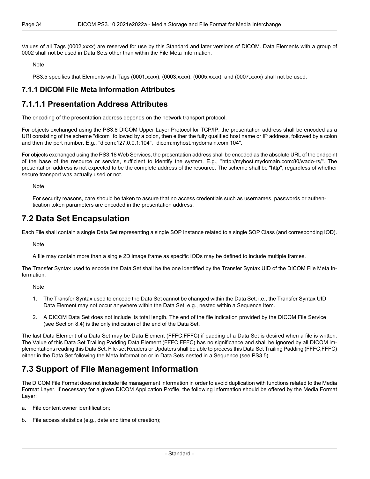Values of all Tags (0002,xxxx) are reserved for use by this Standard and later versions of DICOM. Data Elements with a group of 0002 shall not be used in Data Sets other than within the File Meta Information.

Note

<span id="page-33-0"></span>[PS3.5](part05.pdf#PS3.5) specifies that Elements with Tags (0001,xxxx), (0003,xxxx), (0005,xxxx), and (0007,xxxx) shall not be used.

#### <span id="page-33-1"></span>**7.1.1 DICOM File Meta Information Attributes**

### **7.1.1.1 Presentation Address Attributes**

The encoding of the presentation address depends on the network transport protocol.

For objects exchanged using the [PS3.8](part08.pdf#PS3.8) DICOM Upper Layer Protocol for TCP/IP, the presentation address shall be encoded as a URI consisting of the scheme "dicom" followed by a colon, then either the fully qualified host name or IP address, followed by a colon and then the port number. E.g., "dicom:127.0.0.1:104", "dicom:myhost.mydomain.com:104".

For objects exchanged using the [PS3.18](part18.pdf#PS3.18) Web Services, the presentation address shall be encoded as the absolute URL of the endpoint of the base of the resource or service, sufficient to identify the system. E.g., "http://myhost.mydomain.com:80/wado-rs/". The presentation address is not expected to be the complete address of the resource. The scheme shall be "http", regardless of whether secure transport was actually used or not.

<span id="page-33-2"></span>Note

For security reasons, care should be taken to assure that no access credentials such as usernames, passwords or authen tication token parameters are encoded in the presentation address.

### **7.2 Data Set Encapsulation**

Each File shall contain a single Data Set representing a single SOP Instance related to a single SOP Class (and corresponding IOD).

Note

A file may contain more than a single 2D image frame as specific IODs may be defined to include multiple frames.

The Transfer Syntax used to encode the Data Set shall be the one identified by the Transfer Syntax UID of the DICOM File Meta In formation.

Note

- 1. The Transfer Syntax used to encode the Data Set cannot be changed within the Data Set; i.e., the Transfer Syntax UID Data Element may not occur anywhere within the Data Set, e.g., nested within a Sequence Item.
- 2. A DICOM Data Set does not include its total length. The end of the file indication provided by the DICOM File Service (see [Section](#page-39-0) 8.4) is the only indication of the end of the Data Set.

<span id="page-33-3"></span>The last Data Element of a Data Set may be Data Element (FFFC,FFFC) if padding of a Data Set is desired when a file is written. The Value of this Data Set Trailing Padding Data Element (FFFC,FFFC) has no significance and shall be ignored by all DICOM im plementations reading this Data Set. File-set Readers or Updaters shall be able to process this Data Set Trailing Padding (FFFC,FFFC) either in the Data Set following the Meta Information or in Data Sets nested in a Sequence (see [PS3.5](part05.pdf#PS3.5)).

## **7.3 Support of File Management Information**

The DICOM File Format does not include file management information in order to avoid duplication with functions related to the Media Format Layer. If necessary for a given DICOM Application Profile, the following information should be offered by the Media Format Layer:

- a. File content owner identification;
- b. File access statistics (e.g., date and time of creation);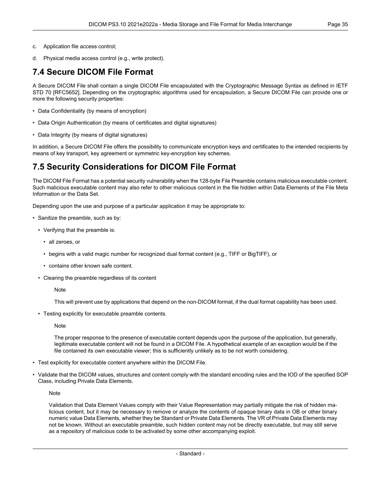- c. Application file access control;
- <span id="page-34-0"></span>d. Physical media access control (e.g., write protect).

### **7.4 Secure DICOM File Format**

A Secure DICOM File shall contain a single DICOM File encapsulated with the Cryptographic Message Syntax as defined in IETF STD 70 [\[RFC5652\]](#page-14-7). Depending on the cryptographic algorithms used for encapsulation, a Secure DICOM File can provide one or more the following security properties:

- Data Confidentiality (by means of encryption)
- Data Origin Authentication (by means of certificates and digital signatures)
- Data Integrity (by means of digital signatures)

<span id="page-34-1"></span>In addition, a Secure DICOM File offers the possibility to communicate encryption keys and certificates to the intended recipients by means of key transport, key agreement or symmetric key-encryption key schemes.

### **7.5 Security Considerations for DICOM File Format**

The DICOM File Format has a potential security vulnerability when the 128-byte File Preamble contains malicious executable content. Such malicious executable content may also refer to other malicious content in the file hidden within Data Elements of the File Meta Information or the Data Set.

Depending upon the use and purpose of a particular application it may be appropriate to:

- Sanitize the preamble, such as by:
	- Verifying that the preamble is:
		- all zeroes, or
		- begins with a valid magic number for recognized dual format content (e.g., TIFF or BigTIFF), or
		- contains other known safe content.
	- Clearing the preamble regardless of its content

**Note** 

This will prevent use by applications that depend on the non-DICOM format, if the dual format capability has been used.

• Testing explicitly for executable preamble contents.

Note

The proper response to the presence of executable content depends upon the purpose of the application, but generally, legitimate executable content will not be found in a DICOM File. A hypothetical example of an exception would be if the file contained its own executable viewer; this is sufficiently unlikely as to be not worth considering.

- Test explicitly for executable content anywhere within the DICOM File.
- Validate that the DICOM values, structures and content comply with the standard encoding rules and the IOD of the specified SOP Class, including Private Data Elements.

**Note** 

Validation that Data Element Values comply with their Value Representation may partially mitigate the risk of hidden ma licious content, but it may be necessary to remove or analyze the contents of opaque binary data in OB or other binary numeric value Data Elements, whether they be Standard or Private Data Elements. The VR of Private Data Elements may not be known. Without an executable preamble, such hidden content may not be directly executable, but may still serve as a repository of malicious code to be activated by some other accompanying exploit.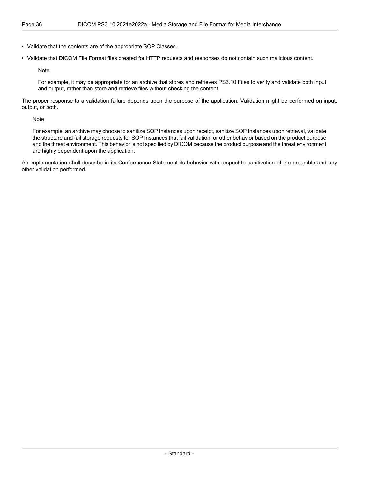• Validate that the contents are of the appropriate SOP Classes.

• Validate that DICOM File Format files created for HTTP requests and responses do not contain such malicious content.

Note

For example, it may be appropriate for an archive that stores and retrieves PS3.10 Files to verify and validate both input and output, rather than store and retrieve files without checking the content.

The proper response to a validation failure depends upon the purpose of the application. Validation might be performed on input, output, or both.

Note

For example, an archive may choose to sanitize SOP Instances upon receipt, sanitize SOP Instances upon retrieval, validate the structure and fail storage requests for SOP Instances that fail validation, or other behavior based on the product purpose and the threat environment. This behavior is not specified by DICOM because the product purpose and the threat environment are highly dependent upon the application.

An implementation shall describe in its Conformance Statement its behavior with respect to sanitization of the preamble and any other validation performed.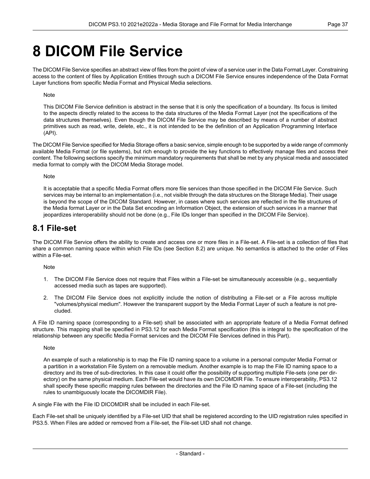## <span id="page-36-0"></span>**8 DICOM File Service**

The DICOM File Service specifies an abstract view of files from the point of view of a service user in the Data Format Layer. Constraining access to the content of files by Application Entities through such a DICOM File Service ensures independence of the Data Format Layer functions from specific Media Format and Physical Media selections.

#### Note

This DICOM File Service definition is abstract in the sense that it is only the specification of a boundary. Its focus is limited to the aspects directly related to the access to the data structures of the Media Format Layer (not the specifications of the data structures themselves). Even though the DICOM File Service may be described by means of a number of abstract primitives such as read, write, delete, etc., it is not intended to be the definition of an Application Programming Interface (API).

The DICOM File Service specified for Media Storage offers a basic service, simple enough to be supported by a wide range of commonly available Media Format (or file systems), but rich enough to provide the key functions to effectively manage files and access their content. The following sections specify the minimum mandatory requirements that shall be met by any physical media and associated media format to comply with the DICOM Media Storage model.

#### Note

<span id="page-36-1"></span>It is acceptable that a specific Media Format offers more file services than those specified in the DICOM File Service. Such services may be internal to an implementation (i.e., not visible through the data structures on the Storage Media). Their usage is beyond the scope of the DICOM Standard. However, in cases where such services are reflected in the file structures of the Media format Layer or in the Data Set encoding an Information Object, the extension of such services in a manner that jeopardizes interoperability should not be done (e.g., File IDs longer than specified in the DICOM File Service).

### **8.1 File-set**

The DICOM File Service offers the ability to create and access one or more files in a File-set. A File-set is a collection of files that share a common naming space within which File IDs (see [Section](#page-37-0) 8.2) are unique. No semantics is attached to the order of Files within a File-set.

Note

- 1. The DICOM File Service does not require that Files within a File-set be simultaneously accessible (e.g., sequentially accessed media such as tapes are supported).
- 2. The DICOM File Service does not explicitly include the notion of distributing a File-set or a File across multiple "volumes/physical medium". However the transparent support by the Media Format Layer of such a feature is not pre cluded.

A File ID naming space (corresponding to a File-set) shall be associated with an appropriate feature of a Media Format defined structure. This mapping shall be specified in [PS3.12](part12.pdf#PS3.12) for each Media Format specification (this is integral to the specification of the relationship between any specific Media Format services and the DICOM File Services defined in this Part).

Note

An example of such a relationship is to map the File ID naming space to a volume in a personal computer Media Format or a partition in a workstation File System on a removable medium. Another example is to map the File ID naming space to a directory and its tree of sub-directories. In this case it could offer the possibility of supporting multiple File-sets (one per dir ectory) on the same physical medium. Each File-set would have its own DICOMDIR File. To ensure interoperability, [PS3.12](part12.pdf#PS3.12) shall specify these specific mapping rules between the directories and the File ID naming space of a File-set (including the rules to unambiguously locate the DICOMDIR File).

A single File with the File ID DICOMDIR shall be included in each File-set.

Each File-set shall be uniquely identified by a File-set UID that shall be registered according to the UID registration rules specified in [PS3.5](part05.pdf#PS3.5). When Files are added or removed from a File-set, the File-set UID shall not change.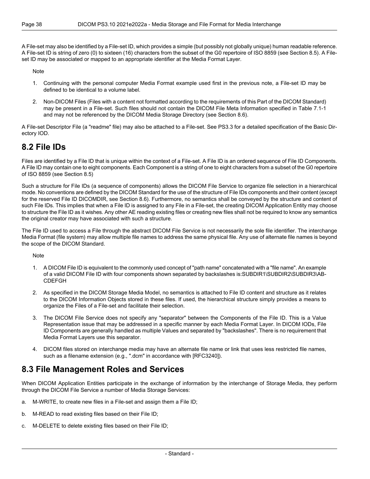A File-set may also be identified by a File-set ID, which provides a simple (but possibly not globally unique) human readable reference. A File-set ID is string of zero (0) to sixteen (16) characters from the subset of the G0 repertoire of ISO 8859 (see [Section](#page-39-1) 8.5). A File set ID may be associated or mapped to an appropriate identifier at the Media Format Layer.

Note

- 1. Continuing with the personal computer Media Format example used first in the previous note, a File-set ID may be defined to be identical to a volume label.
- 2. Non-DICOM Files (Files with a content not formatted according to the requirements of this Part of the DICOM Standard) may be present in a File-set. Such files should not contain the DICOM File Meta Information specified in [Table](#page-31-0) 7.1-1 and may not be referenced by the DICOM Media Storage Directory (see [Section](#page-39-2) 8.6).

<span id="page-37-0"></span>A File-set Descriptor File (a "readme" file) may also be attached to a File-set. See [PS3.3](part03.pdf#PS3.3) for a detailed specification of the Basic Dir ectory IOD.

### **8.2 File IDs**

Files are identified by a File ID that is unique within the context of a File-set. A File ID is an ordered sequence of File ID Components. A File ID may contain one to eight components. Each Component is a string of one to eight characters from a subset of the G0 repertoire of ISO 8859 (see [Section](#page-39-1) 8.5)

Such a structure for File IDs (a sequence of components) allows the DICOM File Service to organize file selection in a hierarchical mode. No conventions are defined by the DICOM Standard for the use of the structure of File IDs components and their content (except for the reserved File ID DICOMDIR, see [Section](#page-39-2) 8.6). Furthermore, no semantics shall be conveyed by the structure and content of such File IDs. This implies that when a File ID is assigned to any File in a File-set, the creating DICOM Application Entity may choose to structure the File ID as it wishes. Any other AE reading existing files or creating new files shall not be required to know any semantics the original creator may have associated with such a structure.

The File ID used to access a File through the abstract DICOM File Service is not necessarily the sole file identifier. The interchange Media Format (file system) may allow multiple file names to address the same physical file. Any use of alternate file names is beyond the scope of the DICOM Standard.

**Note** 

- 1. A DICOM File ID is equivalent to the commonly used concept of "path name" concatenated with a "file name". An example of a valid DICOM File ID with four components shown separated by backslashes is:SUBDIR1\SUBDIR2\SUBDIR3\AB- CDEFGH
- 2. As specified in the DICOM Storage Media Model, no semantics is attached to File ID content and structure as it relates to the DICOM Information Objects stored in these files. If used, the hierarchical structure simply provides a means to organize the Files of a File-set and facilitate their selection.
- <span id="page-37-1"></span>3. The DICOM File Service does not specify any "separator" between the Components of the File ID. This is a Value Representation issue that may be addressed in a specific manner by each Media Format Layer. In DICOM IODs, File ID Components are generally handled as multiple Values and separated by "backslashes". There is no requirement that Media Format Layers use this separator.
- 4. DICOM files stored on interchange media may have an alternate file name or link that uses less restricted file names, such as a filename extension (e.g., ".dcm" in accordance with [\[RFC3240\]](#page-14-8)).

### **8.3 File Management Roles and Services**

When DICOM Application Entities participate in the exchange of information by the interchange of Storage Media, they perform through the DICOM File Service a number of Media Storage Services:

- a. M-WRITE, to create new files in a File-set and assign them a File ID;
- b. M-READ to read existing files based on their File ID;
- c. M-DELETE to delete existing files based on their File ID;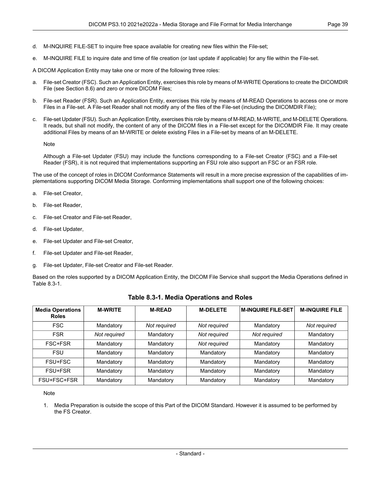- d. M-INQUIRE FILE-SET to inquire free space available for creating new files within the File-set;
- e. M-INQUIRE FILE to inquire date and time of file creation (or last update if applicable) for any file within the File-set.

A DICOM Application Entity may take one or more of the following three roles:

- a. File-set Creator (FSC). Such an Application Entity, exercises this role by means of M-WRITE Operations to create the DICOMDIR File (see [Section](#page-39-2) 8.6) and zero or more DICOM Files;
- b. File-set Reader (FSR). Such an Application Entity, exercises this role by means of M-READ Operations to access one or more Files in a File-set. A File-set Reader shall not modify any of the files of the File-set (including the DICOMDIR File);
- File-set Updater (FSU). Such an Application Entity, exercises this role by means of M-READ, M-WRITE, and M-DELETE Operations. It reads, but shall not modify, the content of any of the DICOM files in a File-set except for the DICOMDIR File. It may create additional Files by means of an M-WRITE or delete existing Files in a File-set by means of an M-DELETE.

Note

Although a File-set Updater (FSU) may include the functions corresponding to a File-set Creator (FSC) and a File-set Reader (FSR), it is not required that implementations supporting an FSU role also support an FSC or an FSR role.

The use of the concept of roles in DICOM Conformance Statements will result in a more precise expression of the capabilities of im plementations supporting DICOM Media Storage. Conforming implementations shall support one of the following choices:

- a. File-set Creator,
- b. File-set Reader,
- c. File-set Creator and File-set Reader,
- d. File-set Updater,
- e. File-set Updater and File-set Creator,
- f. File-set Updater and File-set Reader,
- <span id="page-38-0"></span>g. File-set Updater, File-set Creator and File-set Reader.

Based on the roles supported by a DICOM Application Entity, the DICOM File Service shall support the Media Operations defined in [Table](#page-38-0) 8.3-1.

| <b>Media Operations</b><br><b>Roles</b> | <b>M-WRITE</b> | <b>M-READ</b> | <b>M-DELETE</b> | <b>M-INQUIRE FILE-SET</b> | <b>M-INQUIRE FILE</b> |
|-----------------------------------------|----------------|---------------|-----------------|---------------------------|-----------------------|
| <b>FSC</b>                              | Mandatory      | Not required  | Not required    | Mandatory                 | Not required          |
| <b>FSR</b>                              | Not required   | Mandatory     | Not required    | Not required              | Mandatory             |
| FSC+FSR                                 | Mandatory      | Mandatory     | Not required    | Mandatory                 | Mandatory             |
| <b>FSU</b>                              | Mandatory      | Mandatory     | Mandatory       | Mandatory                 | Mandatory             |
| FSU+FSC                                 | Mandatory      | Mandatory     | Mandatory       | Mandatory                 | Mandatory             |
| FSU+FSR                                 | Mandatory      | Mandatory     | Mandatory       | Mandatory                 | Mandatory             |
| FSU+FSC+FSR                             | Mandatory      | Mandatory     | Mandatory       | Mandatory                 | Mandatory             |

#### **Table 8.3-1. Media Operations and Roles**

#### Note

1. Media Preparation is outside the scope of this Part of the DICOM Standard. However it is assumed to be performed by the FS Creator.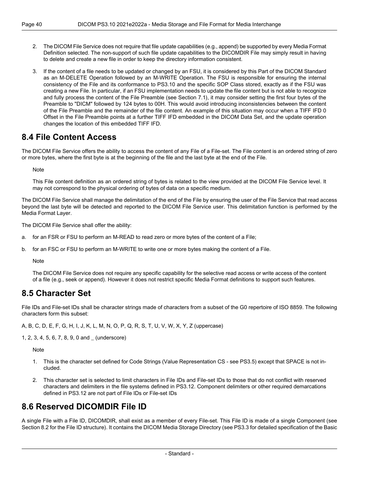- 2. The DICOM File Service does not require that file update capabilities (e.g., append) be supported by every Media Format Definition selected. The non-support of such file update capabilities to the DICOMDIR File may simply result in having to delete and create a new file in order to keep the directory information consistent.
- 3. If the content of a file needs to be updated or changed by an FSU, it is considered by this Part of the DICOM Standard as an M-DELETE Operation followed by an M-WRITE Operation. The FSU is responsible for ensuring the internal consistency of the File and its conformance to PS3.10 and the specific SOP Class stored, exactly as if the FSU was creating a new File. In particular, if an FSU implementation needs to update the file content but is not able to recognize and fully process the content of the File Preamble (see [Section](#page-30-1) 7.1), it may consider setting the first four bytes of the Preamble to "DICM" followed by 124 bytes to 00H. This would avoid introducing inconsistencies between the content of the File Preamble and the remainder of the file content. An example of this situation may occur when a TIFF IFD 0 Offset in the File Preamble points at a further TIFF IFD embedded in the DICOM Data Set, and the update operation changes the location of this embedded TIFF IFD.

### <span id="page-39-0"></span>**8.4 File Content Access**

The DICOM File Service offers the ability to access the content of any File of a File-set. The File content is an ordered string of zero or more bytes, where the first byte is at the beginning of the file and the last byte at the end of the File.

**Note** 

This File content definition as an ordered string of bytes is related to the view provided at the DICOM File Service level. It may not correspond to the physical ordering of bytes of data on a specific medium.

The DICOM File Service shall manage the delimitation of the end of the File by ensuring the user of the File Service that read access beyond the last byte will be detected and reported to the DICOM File Service user. This delimitation function is performed by the Media Format Layer.

The DICOM File Service shall offer the ability:

- a. for an FSR or FSU to perform an M-READ to read zero or more bytes of the content of a File;
- <span id="page-39-1"></span>b. for an FSC or FSU to perform an M-WRITE to write one or more bytes making the content of a File.

Note

The DICOM File Service does not require any specific capability for the selective read access or write access of the content of a file (e.g., seek or append). However it does not restrict specific Media Format definitions to support such features.

### **8.5 Character Set**

File IDs and File-set IDs shall be character strings made of characters from a subset of the G0 repertoire of ISO 8859. The following characters form this subset:

A, B, C, D, E, F, G, H, I, J, K, L, M, N, O, P, Q, R, S, T, U, V, W, X, Y, Z (uppercase)

1, 2, 3, 4, 5, 6, 7, 8, 9, 0 and \_ (underscore)

**Note** 

- <span id="page-39-2"></span>1. This is the character set defined for Code Strings (Value Representation CS - see [PS3.5\)](part05.pdf#PS3.5) except that SPACE is not in cluded.
- 2. This character set is selected to limit characters in File IDs and File-set IDs to those that do not conflict with reserved characters and delimiters in the file systems defined in [PS3.12](part12.pdf#PS3.12). Component delimiters or other required demarcations defined in [PS3.12](part12.pdf#PS3.12) are not part of File IDs or File-set IDs

## **8.6 Reserved DICOMDIR File ID**

A single File with a File ID, DICOMDIR, shall exist as a member of every File-set. This File ID is made of a single Component (see [Section](#page-37-0) 8.2 for the File ID structure). It contains the DICOM Media Storage Directory (see [PS3.3](part03.pdf#PS3.3) for detailed specification of the Basic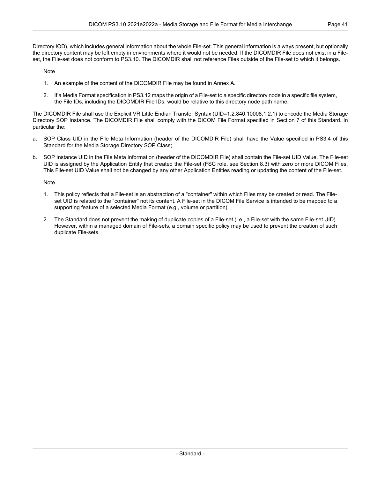the directory content may be left empty in environments where it would not be needed. If the DICOMDIR File does not exist in a File set, the File-set does not conform to PS3.10. The DICOMDIR shall not reference Files outside of the File-set to which it belongs.

Note

- 1. An example of the content of the DICOMDIR File may be found in [Annex](#page-44-0) A.
- 2. If a Media Format specification in [PS3.12](part12.pdf#PS3.12) maps the origin of a File-set to a specific directory node in a specific file system, the File IDs, including the DICOMDIR File IDs, would be relative to this directory node path name.

The DICOMDIR File shall use the Explicit VR Little Endian Transfer Syntax (UID=1.2.840.10008.1.2.1) to encode the Media Storage Directory SOP Instance. The DICOMDIR File shall comply with the DICOM File Format specified in Section 7 of this Standard. In particular the:

- a. SOP Class UID in the File Meta Information (header of the DICOMDIR File) shall have the Value specified in [PS3.4](part04.pdf#PS3.4) of this Standard for the Media Storage Directory SOP Class;
- b. SOP Instance UID in the File Meta Information (header of the DICOMDIR File) shall contain the File-set UID Value. The File-set UID is assigned by the Application Entity that created the File-set (FSC role, see [Section](#page-37-1) 8.3) with zero or more DICOM Files. This File-set UID Value shall not be changed by any other Application Entities reading or updating the content of the File-set.

Note

- 1. This policy reflects that a File-set is an abstraction of a "container" within which Files may be created or read. The File set UID is related to the "container" not its content. A File-set in the DICOM File Service is intended to be mapped to a supporting feature of a selected Media Format (e.g., volume or partition).
- 2. The Standard does not prevent the making of duplicate copies of a File-set (i.e., a File-set with the same File-set UID). However, within a managed domain of File-sets, a domain specific policy may be used to prevent the creation of such duplicate File-sets.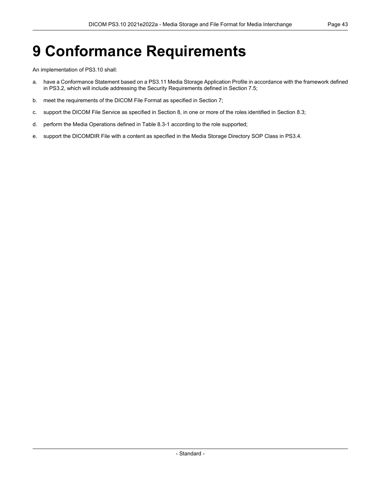# <span id="page-42-0"></span>**9 Conformance Requirements**

An implementation of PS3.10 shall:

- a. have a Conformance Statement based on a [PS3.11](part11.pdf#PS3.11) Media Storage Application Profile in accordance with the framework defined in [PS3.2,](part02.pdf#PS3.2) which will include addressing the Security Requirements defined in [Section](#page-34-1) 7.5;
- b. meet the requirements of the DICOM File Format as specified in [Section](#page-30-0) 7;
- c. support the DICOM File Service as specified in [Section](#page-36-0) 8, in one or more of the roles identified in [Section](#page-37-1) 8.3;
- d. perform the Media Operations defined in [Table](#page-38-0) 8.3-1 according to the role supported;
- e. support the DICOMDIR File with a content as specified in the Media Storage Directory SOP Class in [PS3.4.](part04.pdf#PS3.4)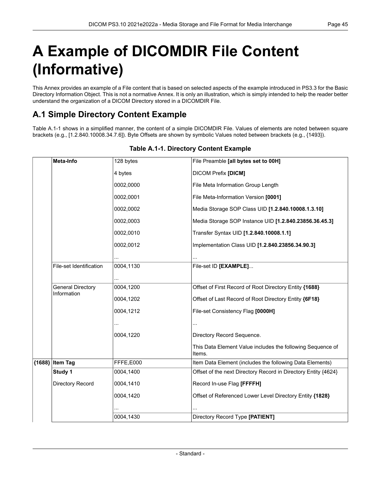# <span id="page-44-0"></span>**A Example of DICOMDIR File Content (Informative)**

<span id="page-44-1"></span>This Annex provides an example of a File content that is based on selected aspects of the example introduced in [PS3.3](part03.pdf#PS3.3) for the Basic Directory Information Object. This is not a normative Annex. It is only an illustration, which is simply intended to help the reader better understand the organization of a DICOM Directory stored in a DICOMDIR File.

## **A.1 Simple Directory Content Example**

<span id="page-44-2"></span>[Table](#page-44-2) A.1-1 shows in a simplified manner, the content of a simple DICOMDIR File. Values of elements are noted between square brackets (e.g., [1.2.840.10008.34.7.6]). Byte Offsets are shown by symbolic Values noted between brackets (e.g., {1493}).

| Meta-Info                               | 128 bytes | File Preamble [all bytes set to 00H]                                 |
|-----------------------------------------|-----------|----------------------------------------------------------------------|
|                                         | 4 bytes   | <b>DICOM Prefix [DICM]</b>                                           |
|                                         | 0002,0000 | File Meta Information Group Length                                   |
|                                         | 0002,0001 | File Meta-Information Version [0001]                                 |
|                                         | 0002,0002 | Media Storage SOP Class UID [1.2.840.10008.1.3.10]                   |
|                                         | 0002,0003 | Media Storage SOP Instance UID [1.2.840.23856.36.45.3]               |
|                                         | 0002,0010 | Transfer Syntax UID [1.2.840.10008.1.1]                              |
|                                         | 0002,0012 | Implementation Class UID [1.2.840.23856.34.90.3]                     |
|                                         |           |                                                                      |
| File-set Identification                 | 0004,1130 | File-set ID [EXAMPLE]                                                |
|                                         | $\ddotsc$ |                                                                      |
| <b>General Directory</b><br>Information | 0004,1200 | Offset of First Record of Root Directory Entity {1688}               |
|                                         | 0004,1202 | Offset of Last Record of Root Directory Entity {6F18}                |
|                                         | 0004,1212 | File-set Consistency Flag [0000H]                                    |
|                                         |           |                                                                      |
|                                         | 0004,1220 | Directory Record Sequence.                                           |
|                                         |           | This Data Element Value includes the following Sequence of<br>Items. |
| {1688} Item Tag                         | FFFE,E000 | Item Data Element (includes the following Data Elements)             |
| Study 1                                 | 0004,1400 | Offset of the next Directory Record in Directory Entity {4624}       |
| Directory Record                        | 0004,1410 | Record In-use Flag [FFFFH]                                           |
|                                         | 0004,1420 | Offset of Referenced Lower Level Directory Entity {1828}             |
|                                         |           |                                                                      |
|                                         | 0004,1430 | Directory Record Type [PATIENT]                                      |

#### **Table A.1-1. Directory Content Example**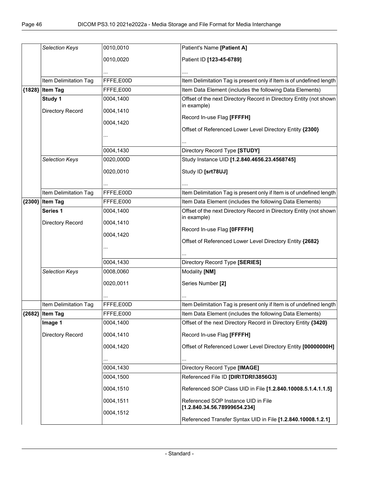| <b>Selection Keys</b> | 0010,0010 | Patient's Name [Patient A]                                                        |
|-----------------------|-----------|-----------------------------------------------------------------------------------|
|                       | 0010,0020 | Patient ID [123-45-6789]                                                          |
|                       |           |                                                                                   |
|                       |           |                                                                                   |
| Item Delimitation Tag | FFFE,E00D | Item Delimitation Tag is present only if Item is of undefined length              |
| {1828} Item Tag       | FFFE,E000 | Item Data Element (includes the following Data Elements)                          |
| Study 1               | 0004,1400 | Offset of the next Directory Record in Directory Entity (not shown<br>in example) |
| Directory Record      | 0004,1410 |                                                                                   |
|                       | 0004,1420 | Record In-use Flag [FFFFH]                                                        |
|                       |           | Offset of Referenced Lower Level Directory Entity {2300}                          |
|                       |           |                                                                                   |
|                       | 0004,1430 | Directory Record Type [STUDY]                                                     |
| Selection Keys        | 0020,000D | Study Instance UID [1.2.840.4656.23.4568745]                                      |
|                       |           |                                                                                   |
|                       | 0020,0010 | Study ID [srt78UJ]                                                                |
|                       |           |                                                                                   |
| Item Delimitation Tag | FFFE,E00D | Item Delimitation Tag is present only if Item is of undefined length              |
| {2300} Item Tag       | FFFE,E000 | Item Data Element (includes the following Data Elements)                          |
| Series 1              | 0004,1400 | Offset of the next Directory Record in Directory Entity (not shown                |
| Directory Record      | 0004,1410 | in example)                                                                       |
|                       | 0004,1420 | Record In-use Flag [OFFFFH]                                                       |
|                       |           | Offset of Referenced Lower Level Directory Entity {2682}                          |
|                       |           |                                                                                   |
|                       | 0004,1430 | Directory Record Type [SERIES]                                                    |
| Selection Keys        | 0008,0060 | Modality [NM]                                                                     |
|                       |           |                                                                                   |
|                       | 0020,0011 | Series Number [2]                                                                 |
|                       |           |                                                                                   |
| Item Delimitation Tag | FFFE,E00D | Item Delimitation Tag is present only if Item is of undefined length              |
| ${2682}$ Item Tag     | FFFE,E000 | Item Data Element (includes the following Data Elements)                          |
| Image 1               | 0004,1400 | Offset of the next Directory Record in Directory Entity {3420}                    |
| Directory Record      | 0004,1410 | Record In-use Flag [FFFFH]                                                        |
|                       | 0004,1420 | Offset of Referenced Lower Level Directory Entity [00000000H]                     |
|                       |           |                                                                                   |
|                       | 0004,1430 | .<br>Directory Record Type [IMAGE]                                                |
|                       | 0004,1500 | Referenced File ID [DIR\TDRI\3856G3]                                              |
|                       |           |                                                                                   |
|                       | 0004,1510 | Referenced SOP Class UID in File [1.2.840.10008.5.1.4.1.1.5]                      |
|                       | 0004,1511 | Referenced SOP Instance UID in File                                               |
|                       | 0004,1512 | [1.2.840.34.56.78999654.234]                                                      |
|                       |           | Referenced Transfer Syntax UID in File [1.2.840.10008.1.2.1]                      |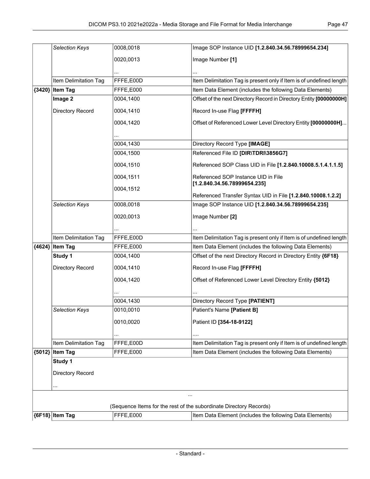|          | <b>Selection Keys</b> | 0008,0018 | Image SOP Instance UID [1.2.840.34.56.78999654.234]                  |
|----------|-----------------------|-----------|----------------------------------------------------------------------|
|          |                       | 0020,0013 | Image Number [1]                                                     |
|          |                       |           |                                                                      |
|          |                       |           |                                                                      |
|          | Item Delimitation Tag | FFFE,E00D | Item Delimitation Tag is present only if Item is of undefined length |
| ${3420}$ | <b>Item Tag</b>       | FFFE,E000 | Item Data Element (includes the following Data Elements)             |
|          | Image 2               | 0004,1400 | Offset of the next Directory Record in Directory Entity [00000000H]  |
|          | Directory Record      | 0004,1410 | Record In-use Flag [FFFFH]                                           |
|          |                       | 0004,1420 | Offset of Referenced Lower Level Directory Entity [00000000H]        |
|          |                       |           |                                                                      |
|          |                       | 0004,1430 | Directory Record Type [IMAGE]                                        |
|          |                       | 0004,1500 | Referenced File ID [DIR\TDRI\3856G7]                                 |
|          |                       | 0004,1510 | Referenced SOP Class UID in File [1.2.840.10008.5.1.4.1.1.5]         |
|          |                       | 0004,1511 | Referenced SOP Instance UID in File                                  |
|          |                       | 0004,1512 | [1.2.840.34.56.78999654.235]                                         |
|          |                       |           | Referenced Transfer Syntax UID in File [1.2.840.10008.1.2.2]         |
|          | Selection Keys        | 0008,0018 | Image SOP Instance UID [1.2.840.34.56.78999654.235]                  |
|          |                       | 0020,0013 | Image Number [2]                                                     |
|          |                       |           |                                                                      |
|          | Item Delimitation Tag | FFFE,E00D | Item Delimitation Tag is present only if Item is of undefined length |
|          | {4624} Item Tag       | FFFE,E000 | Item Data Element (includes the following Data Elements)             |
|          | Study 1               | 0004,1400 | Offset of the next Directory Record in Directory Entity {6F18}       |
|          | Directory Record      | 0004,1410 | Record In-use Flag [FFFFH]                                           |
|          |                       | 0004,1420 | Offset of Referenced Lower Level Directory Entity {5012}             |
|          |                       |           |                                                                      |
|          |                       | 0004,1430 | Directory Record Type [PATIENT]                                      |
|          | <b>Selection Keys</b> | 0010,0010 | Patient's Name [Patient B]                                           |
|          |                       | 0010,0020 | Patient ID [354-18-9122]                                             |
|          |                       |           |                                                                      |
|          | Item Delimitation Tag | FFFE,E00D | Item Delimitation Tag is present only if Item is of undefined length |
| ${5012}$ | <b>Item Tag</b>       | FFFE,E000 | Item Data Element (includes the following Data Elements)             |
|          | Study 1               |           |                                                                      |
|          | Directory Record      |           |                                                                      |
|          |                       |           |                                                                      |
|          |                       |           |                                                                      |
|          |                       |           | (Sequence Items for the rest of the subordinate Directory Records)   |
|          | {6F18} Item Tag       | FFFE,E000 | Item Data Element (includes the following Data Elements)             |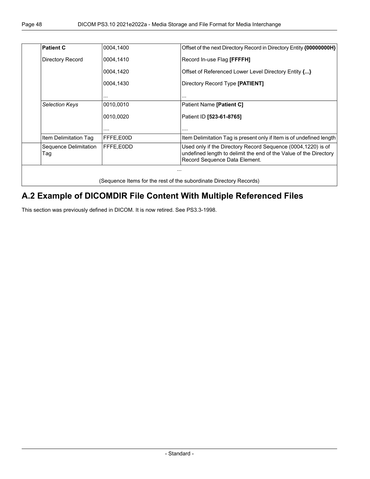| <b>Patient C</b>             | 0004,1400 | Offset of the next Directory Record in Directory Entity {00000000H}                                                                                                |
|------------------------------|-----------|--------------------------------------------------------------------------------------------------------------------------------------------------------------------|
| Directory Record             | 0004,1410 | Record In-use Flag [FFFFH]                                                                                                                                         |
|                              | 0004,1420 | Offset of Referenced Lower Level Directory Entity {}                                                                                                               |
|                              | 0004,1430 | Directory Record Type [PATIENT]                                                                                                                                    |
|                              | .         | .                                                                                                                                                                  |
| <b>Selection Keys</b>        | 0010,0010 | Patient Name [Patient C]                                                                                                                                           |
|                              | 0010,0020 | Patient ID [523-61-8765]                                                                                                                                           |
|                              | .         | .                                                                                                                                                                  |
| Item Delimitation Tag        | FFFE,E00D | Item Delimitation Tag is present only if Item is of undefined length                                                                                               |
| Sequence Delimitation<br>Tag | FFFE,E0DD | Used only if the Directory Record Sequence (0004,1220) is of<br>undefined length to delimit the end of the Value of the Directory<br>Record Sequence Data Element. |

## <span id="page-47-0"></span>**A.2 Example of DICOMDIR File Content With Multiple Referenced Files**

This section was previously defined in DICOM. It is now retired. See PS3.3-1998.